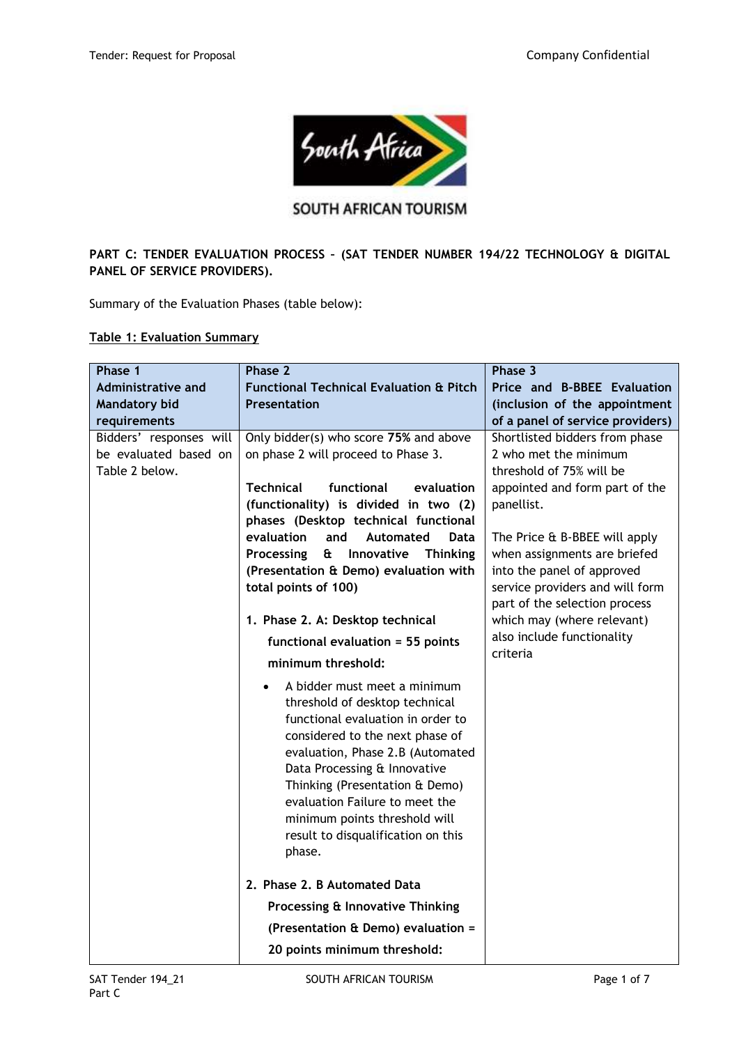

# **SOUTH AFRICAN TOURISM**

## **PART C: TENDER EVALUATION PROCESS – (SAT TENDER NUMBER 194/22 TECHNOLOGY & DIGITAL PANEL OF SERVICE PROVIDERS).**

Summary of the Evaluation Phases (table below):

#### **Table 1: Evaluation Summary**

| Phase 1                                                            | Phase 2                                                                                                                                                                                                                                                                                                                                                                      | Phase 3                                                                                                                        |
|--------------------------------------------------------------------|------------------------------------------------------------------------------------------------------------------------------------------------------------------------------------------------------------------------------------------------------------------------------------------------------------------------------------------------------------------------------|--------------------------------------------------------------------------------------------------------------------------------|
| Administrative and                                                 | <b>Functional Technical Evaluation &amp; Pitch</b>                                                                                                                                                                                                                                                                                                                           | Price and B-BBEE Evaluation                                                                                                    |
| <b>Mandatory bid</b>                                               | <b>Presentation</b>                                                                                                                                                                                                                                                                                                                                                          | (inclusion of the appointment                                                                                                  |
| requirements                                                       |                                                                                                                                                                                                                                                                                                                                                                              | of a panel of service providers)                                                                                               |
| Bidders' responses will<br>be evaluated based on<br>Table 2 below. | Only bidder(s) who score 75% and above<br>on phase 2 will proceed to Phase 3.                                                                                                                                                                                                                                                                                                | Shortlisted bidders from phase<br>2 who met the minimum<br>threshold of 75% will be                                            |
|                                                                    | <b>Technical</b><br>functional<br>evaluation<br>(functionality) is divided in two (2)<br>phases (Desktop technical functional                                                                                                                                                                                                                                                | appointed and form part of the<br>panellist.                                                                                   |
|                                                                    | evaluation<br>and<br>Automated<br>Data                                                                                                                                                                                                                                                                                                                                       | The Price & B-BBEE will apply                                                                                                  |
|                                                                    | Processing<br>Œ<br>Innovative<br><b>Thinking</b><br>(Presentation & Demo) evaluation with<br>total points of 100)                                                                                                                                                                                                                                                            | when assignments are briefed<br>into the panel of approved<br>service providers and will form<br>part of the selection process |
|                                                                    | 1. Phase 2. A: Desktop technical                                                                                                                                                                                                                                                                                                                                             | which may (where relevant)                                                                                                     |
|                                                                    | functional evaluation = 55 points                                                                                                                                                                                                                                                                                                                                            | also include functionality                                                                                                     |
|                                                                    | minimum threshold:                                                                                                                                                                                                                                                                                                                                                           | criteria                                                                                                                       |
|                                                                    | A bidder must meet a minimum<br>$\bullet$<br>threshold of desktop technical<br>functional evaluation in order to<br>considered to the next phase of<br>evaluation, Phase 2.B (Automated<br>Data Processing & Innovative<br>Thinking (Presentation & Demo)<br>evaluation Failure to meet the<br>minimum points threshold will<br>result to disqualification on this<br>phase. |                                                                                                                                |
|                                                                    | 2. Phase 2. B Automated Data                                                                                                                                                                                                                                                                                                                                                 |                                                                                                                                |
|                                                                    | Processing & Innovative Thinking                                                                                                                                                                                                                                                                                                                                             |                                                                                                                                |
|                                                                    | (Presentation & Demo) evaluation =                                                                                                                                                                                                                                                                                                                                           |                                                                                                                                |
|                                                                    | 20 points minimum threshold:                                                                                                                                                                                                                                                                                                                                                 |                                                                                                                                |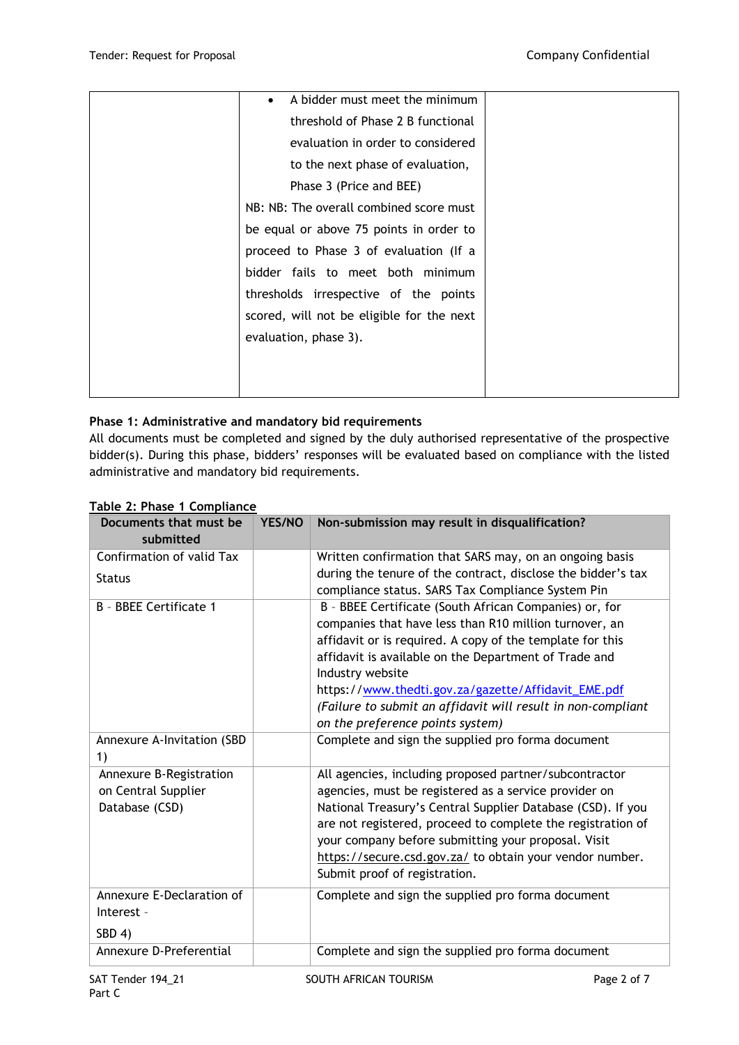| A bidder must meet the minimum            |  |
|-------------------------------------------|--|
| threshold of Phase 2 B functional         |  |
| evaluation in order to considered         |  |
| to the next phase of evaluation,          |  |
| Phase 3 (Price and BEE)                   |  |
| NB: NB: The overall combined score must   |  |
| be equal or above 75 points in order to   |  |
| proceed to Phase 3 of evaluation (If a    |  |
| bidder fails to meet both minimum         |  |
| thresholds irrespective of the points     |  |
| scored, will not be eligible for the next |  |
| evaluation, phase 3).                     |  |
|                                           |  |
|                                           |  |
|                                           |  |

### **Phase 1: Administrative and mandatory bid requirements**

All documents must be completed and signed by the duly authorised representative of the prospective bidder(s). During this phase, bidders' responses will be evaluated based on compliance with the listed administrative and mandatory bid requirements.

| Documents that must be<br>submitted                              | YES/NO | Non-submission may result in disqualification?                                                                                                                                                                                                                                                                                                                                                                        |
|------------------------------------------------------------------|--------|-----------------------------------------------------------------------------------------------------------------------------------------------------------------------------------------------------------------------------------------------------------------------------------------------------------------------------------------------------------------------------------------------------------------------|
| Confirmation of valid Tax                                        |        | Written confirmation that SARS may, on an ongoing basis                                                                                                                                                                                                                                                                                                                                                               |
| <b>Status</b>                                                    |        | during the tenure of the contract, disclose the bidder's tax<br>compliance status. SARS Tax Compliance System Pin                                                                                                                                                                                                                                                                                                     |
| B - BBEE Certificate 1                                           |        | B - BBEE Certificate (South African Companies) or, for<br>companies that have less than R10 million turnover, an<br>affidavit or is required. A copy of the template for this<br>affidavit is available on the Department of Trade and<br>Industry website<br>https://www.thedti.gov.za/gazette/Affidavit_EME.pdf<br>(Failure to submit an affidavit will result in non-compliant<br>on the preference points system) |
| Annexure A-Invitation (SBD<br>1)                                 |        | Complete and sign the supplied pro forma document                                                                                                                                                                                                                                                                                                                                                                     |
| Annexure B-Registration<br>on Central Supplier<br>Database (CSD) |        | All agencies, including proposed partner/subcontractor<br>agencies, must be registered as a service provider on<br>National Treasury's Central Supplier Database (CSD). If you<br>are not registered, proceed to complete the registration of<br>your company before submitting your proposal. Visit<br>https://secure.csd.gov.za/ to obtain your vendor number.<br>Submit proof of registration.                     |
| Annexure E-Declaration of<br>Interest -<br>SBD 4)                |        | Complete and sign the supplied pro forma document                                                                                                                                                                                                                                                                                                                                                                     |
| Annexure D-Preferential                                          |        | Complete and sign the supplied pro forma document                                                                                                                                                                                                                                                                                                                                                                     |

#### **Table 2: Phase 1 Compliance**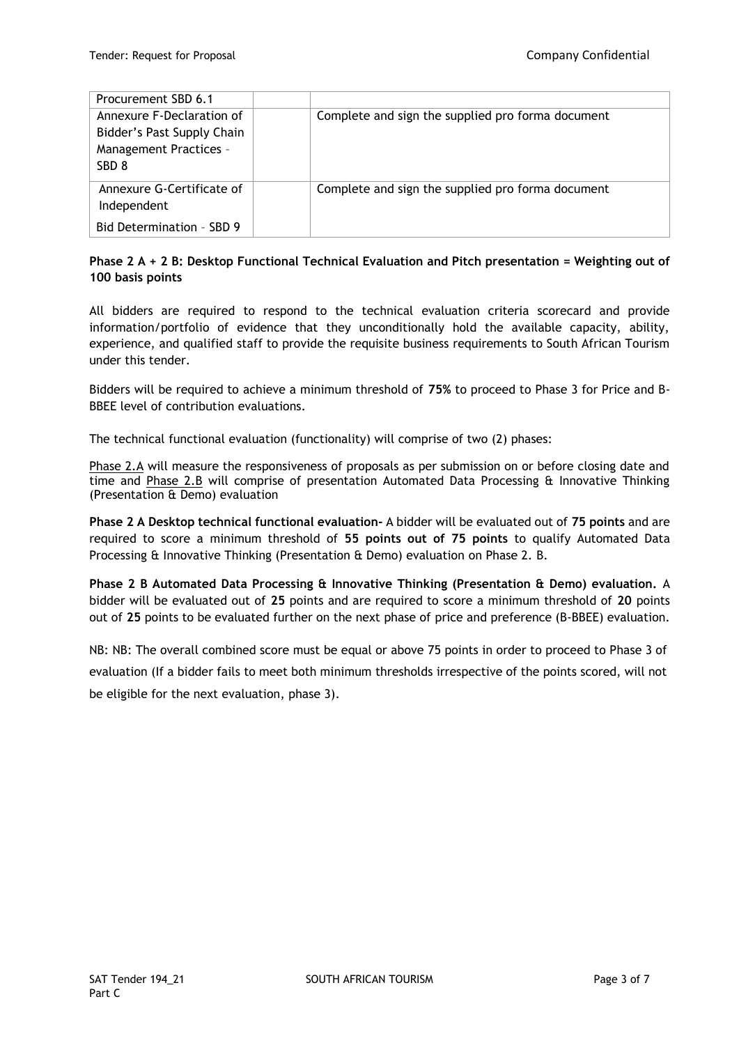| Procurement SBD 6.1                                                                                   |                                                   |
|-------------------------------------------------------------------------------------------------------|---------------------------------------------------|
| Annexure F-Declaration of<br>Bidder's Past Supply Chain<br>Management Practices -<br>SBD <sub>8</sub> | Complete and sign the supplied pro forma document |
| Annexure G-Certificate of<br>Independent<br>Bid Determination - SBD 9                                 | Complete and sign the supplied pro forma document |

## **Phase 2 A + 2 B: Desktop Functional Technical Evaluation and Pitch presentation = Weighting out of 100 basis points**

All bidders are required to respond to the technical evaluation criteria scorecard and provide information/portfolio of evidence that they unconditionally hold the available capacity, ability, experience, and qualified staff to provide the requisite business requirements to South African Tourism under this tender.

Bidders will be required to achieve a minimum threshold of **75%** to proceed to Phase 3 for Price and B-BBEE level of contribution evaluations.

The technical functional evaluation (functionality) will comprise of two (2) phases:

Phase 2.A will measure the responsiveness of proposals as per submission on or before closing date and time and Phase 2.B will comprise of presentation Automated Data Processing & Innovative Thinking (Presentation & Demo) evaluation

**Phase 2 A Desktop technical functional evaluation-** A bidder will be evaluated out of **75 points** and are required to score a minimum threshold of **55 points out of 75 points** to qualify Automated Data Processing & Innovative Thinking (Presentation & Demo) evaluation on Phase 2. B.

**Phase 2 B Automated Data Processing & Innovative Thinking (Presentation & Demo) evaluation.** A bidder will be evaluated out of **25** points and are required to score a minimum threshold of **20** points out of **25** points to be evaluated further on the next phase of price and preference (B-BBEE) evaluation.

NB: NB: The overall combined score must be equal or above 75 points in order to proceed to Phase 3 of evaluation (If a bidder fails to meet both minimum thresholds irrespective of the points scored, will not be eligible for the next evaluation, phase 3).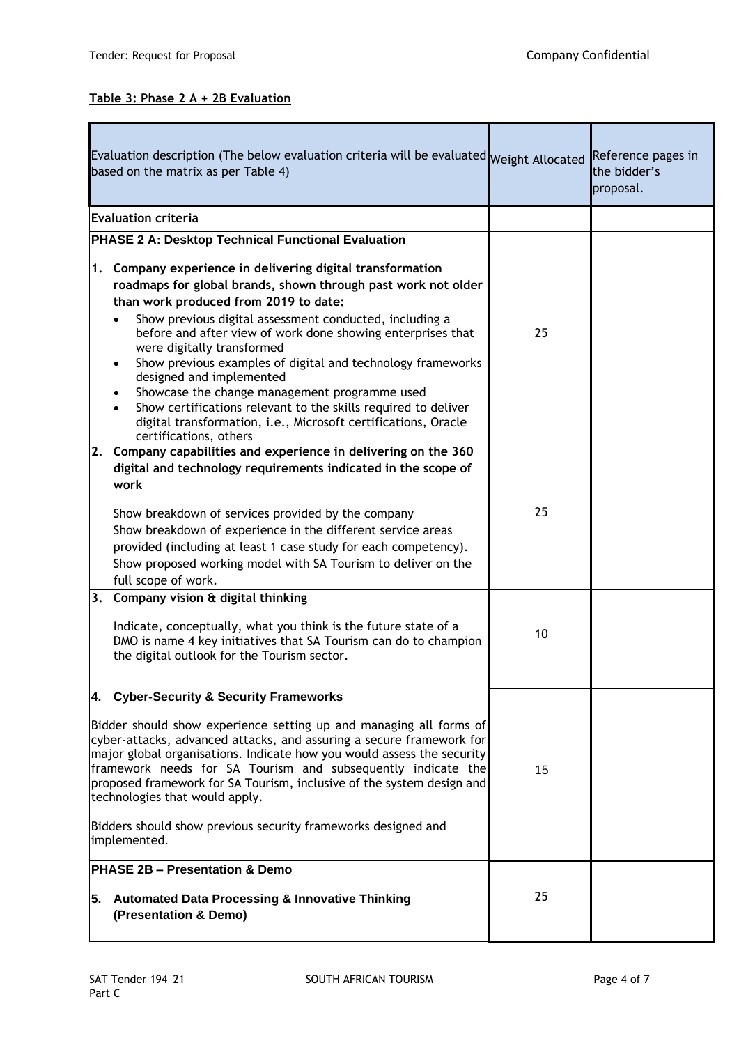## **Table 3: Phase 2 A + 2B Evaluation**

| Evaluation description (The below evaluation criteria will be evaluated Weight Allocated<br>based on the matrix as per Table 4)                                                                                                                                                                                                                                                                                                                                                                                                                                                                                                           |    | Reference pages in<br>the bidder's<br>proposal. |
|-------------------------------------------------------------------------------------------------------------------------------------------------------------------------------------------------------------------------------------------------------------------------------------------------------------------------------------------------------------------------------------------------------------------------------------------------------------------------------------------------------------------------------------------------------------------------------------------------------------------------------------------|----|-------------------------------------------------|
| <b>Evaluation criteria</b>                                                                                                                                                                                                                                                                                                                                                                                                                                                                                                                                                                                                                |    |                                                 |
| <b>PHASE 2 A: Desktop Technical Functional Evaluation</b>                                                                                                                                                                                                                                                                                                                                                                                                                                                                                                                                                                                 |    |                                                 |
| Company experience in delivering digital transformation<br>1.<br>roadmaps for global brands, shown through past work not older<br>than work produced from 2019 to date:<br>Show previous digital assessment conducted, including a<br>before and after view of work done showing enterprises that<br>were digitally transformed<br>Show previous examples of digital and technology frameworks<br>designed and implemented<br>Showcase the change management programme used<br>Show certifications relevant to the skills required to deliver<br>digital transformation, i.e., Microsoft certifications, Oracle<br>certifications, others | 25 |                                                 |
| Company capabilities and experience in delivering on the 360<br>2.<br>digital and technology requirements indicated in the scope of<br>work<br>Show breakdown of services provided by the company<br>Show breakdown of experience in the different service areas<br>provided (including at least 1 case study for each competency).<br>Show proposed working model with SA Tourism to deliver on the<br>full scope of work.                                                                                                                                                                                                               | 25 |                                                 |
| 3. Company vision & digital thinking<br>Indicate, conceptually, what you think is the future state of a<br>DMO is name 4 key initiatives that SA Tourism can do to champion<br>the digital outlook for the Tourism sector.                                                                                                                                                                                                                                                                                                                                                                                                                | 10 |                                                 |
| 4. Cyber-Security & Security Frameworks<br>Bidder should show experience setting up and managing all forms of<br>cyber-attacks, advanced attacks, and assuring a secure framework for<br>major global organisations. Indicate how you would assess the security<br>framework needs for SA Tourism and subsequently indicate the<br>proposed framework for SA Tourism, inclusive of the system design and<br>technologies that would apply.<br>Bidders should show previous security frameworks designed and<br>implemented.<br><b>PHASE 2B - Presentation &amp; Demo</b>                                                                  | 15 |                                                 |
| 5.<br><b>Automated Data Processing &amp; Innovative Thinking</b><br>(Presentation & Demo)                                                                                                                                                                                                                                                                                                                                                                                                                                                                                                                                                 | 25 |                                                 |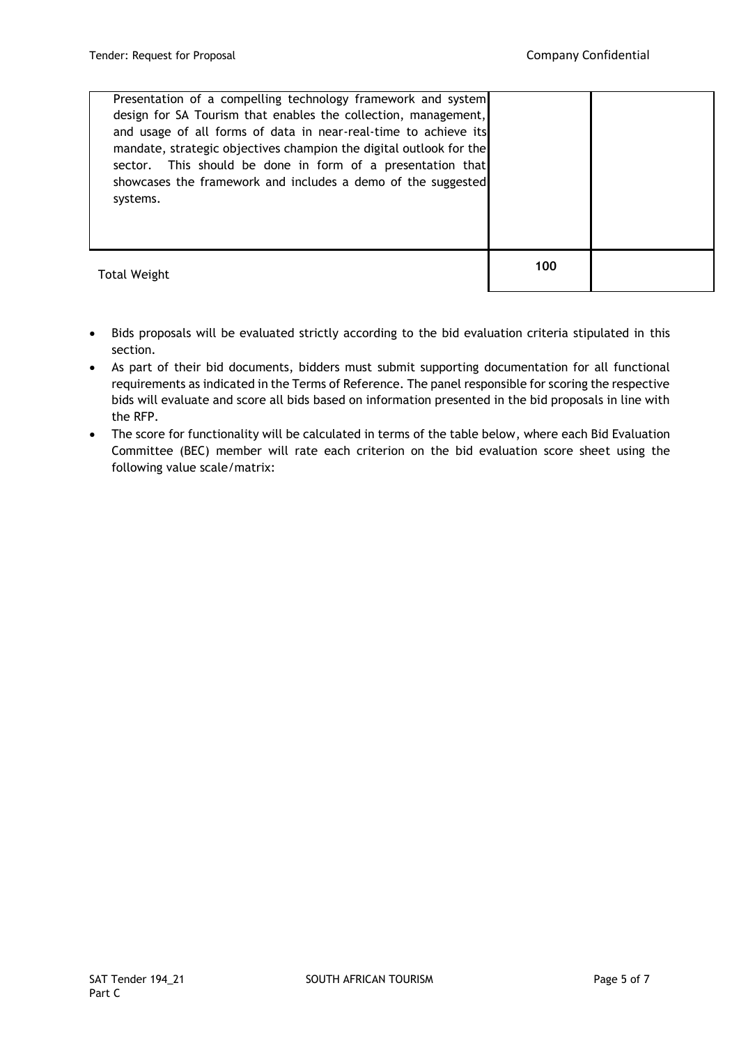| Presentation of a compelling technology framework and system<br>design for SA Tourism that enables the collection, management,<br>and usage of all forms of data in near-real-time to achieve its<br>mandate, strategic objectives champion the digital outlook for the<br>sector. This should be done in form of a presentation that<br>showcases the framework and includes a demo of the suggested<br>systems. |     |  |
|-------------------------------------------------------------------------------------------------------------------------------------------------------------------------------------------------------------------------------------------------------------------------------------------------------------------------------------------------------------------------------------------------------------------|-----|--|
| <b>Total Weight</b>                                                                                                                                                                                                                                                                                                                                                                                               | 100 |  |

- Bids proposals will be evaluated strictly according to the bid evaluation criteria stipulated in this section.
- As part of their bid documents, bidders must submit supporting documentation for all functional requirements as indicated in the Terms of Reference. The panel responsible for scoring the respective bids will evaluate and score all bids based on information presented in the bid proposals in line with the RFP.
- The score for functionality will be calculated in terms of the table below, where each Bid Evaluation Committee (BEC) member will rate each criterion on the bid evaluation score sheet using the following value scale/matrix: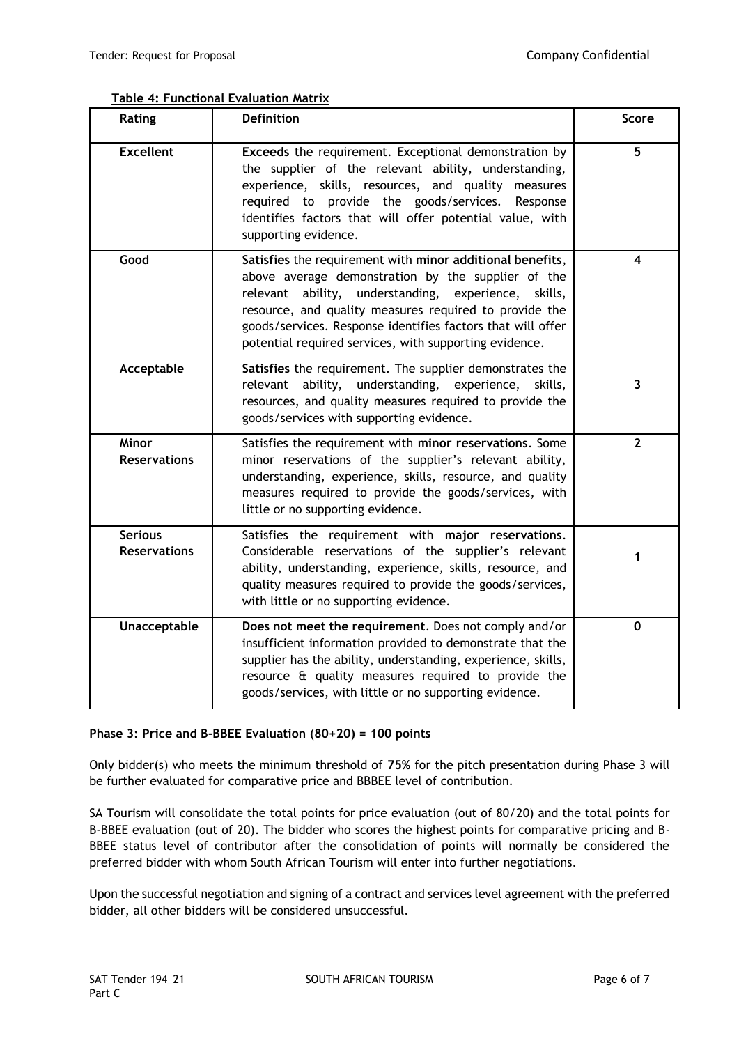## **Table 4: Functional Evaluation Matrix**

| Rating                                | Definition                                                                                                                                                                                                                                                                                                                                                    | <b>Score</b>            |
|---------------------------------------|---------------------------------------------------------------------------------------------------------------------------------------------------------------------------------------------------------------------------------------------------------------------------------------------------------------------------------------------------------------|-------------------------|
| <b>Excellent</b>                      | Exceeds the requirement. Exceptional demonstration by<br>the supplier of the relevant ability, understanding,<br>experience, skills, resources, and quality measures<br>required to provide the goods/services. Response<br>identifies factors that will offer potential value, with<br>supporting evidence.                                                  | 5                       |
| Good                                  | Satisfies the requirement with minor additional benefits,<br>above average demonstration by the supplier of the<br>ability, understanding, experience, skills,<br>relevant<br>resource, and quality measures required to provide the<br>goods/services. Response identifies factors that will offer<br>potential required services, with supporting evidence. | 4                       |
| Acceptable                            | Satisfies the requirement. The supplier demonstrates the<br>relevant ability,<br>understanding, experience,<br>skills,<br>resources, and quality measures required to provide the<br>goods/services with supporting evidence.                                                                                                                                 | $\overline{\mathbf{3}}$ |
| <b>Minor</b><br><b>Reservations</b>   | Satisfies the requirement with minor reservations. Some<br>minor reservations of the supplier's relevant ability,<br>understanding, experience, skills, resource, and quality<br>measures required to provide the goods/services, with<br>little or no supporting evidence.                                                                                   | $\overline{2}$          |
| <b>Serious</b><br><b>Reservations</b> | Satisfies the requirement with major reservations.<br>Considerable reservations of the supplier's relevant<br>ability, understanding, experience, skills, resource, and<br>quality measures required to provide the goods/services,<br>with little or no supporting evidence.                                                                                 | 1                       |
| Unacceptable                          | Does not meet the requirement. Does not comply and/or<br>insufficient information provided to demonstrate that the<br>supplier has the ability, understanding, experience, skills,<br>resource & quality measures required to provide the<br>goods/services, with little or no supporting evidence.                                                           | 0                       |

#### **Phase 3: Price and B-BBEE Evaluation (80+20) = 100 points**

Only bidder(s) who meets the minimum threshold of **75%** for the pitch presentation during Phase 3 will be further evaluated for comparative price and BBBEE level of contribution.

SA Tourism will consolidate the total points for price evaluation (out of 80/20) and the total points for B-BBEE evaluation (out of 20). The bidder who scores the highest points for comparative pricing and B-BBEE status level of contributor after the consolidation of points will normally be considered the preferred bidder with whom South African Tourism will enter into further negotiations.

Upon the successful negotiation and signing of a contract and services level agreement with the preferred bidder, all other bidders will be considered unsuccessful.